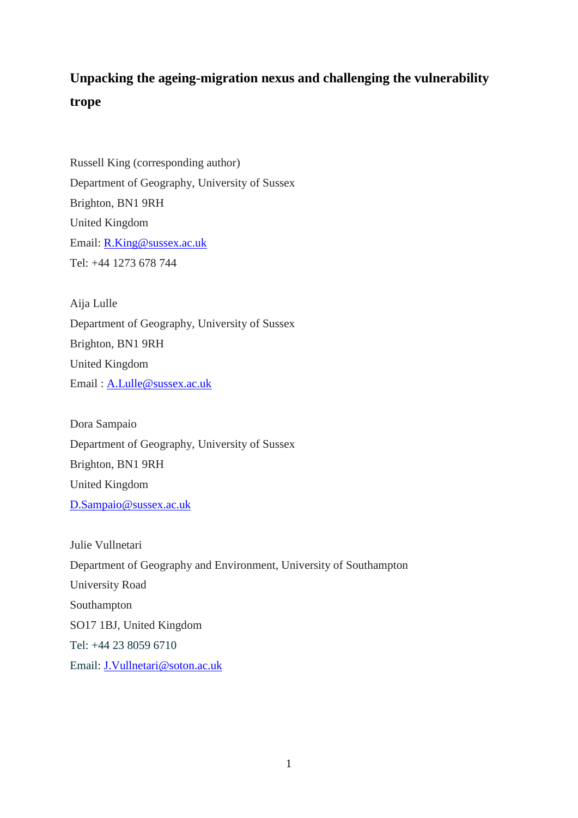# **Unpacking the ageing-migration nexus and challenging the vulnerability trope**

Russell King (corresponding author) Department of Geography, University of Sussex Brighton, BN1 9RH United Kingdom Email: [R.King@sussex.ac.uk](mailto:R.King@sussex.ac.uk) Tel: +44 1273 678 744

Aija Lulle Department of Geography, University of Sussex Brighton, BN1 9RH United Kingdom Email : [A.Lulle@sussex.ac.uk](mailto:A.Lulle@sussex.ac.uk)

Dora Sampaio Department of Geography, University of Sussex Brighton, BN1 9RH United Kingdom [D.Sampaio@sussex.ac.uk](mailto:D.Sampaio@sussex.ac.uk)

Julie Vullnetari Department of Geography and Environment, University of Southampton University Road Southampton SO17 1BJ, United Kingdom Tel: +44 23 8059 6710 Email: [J.Vullnetari@soton.ac.uk](mailto:J.Vullnetari@soton.ac.uk)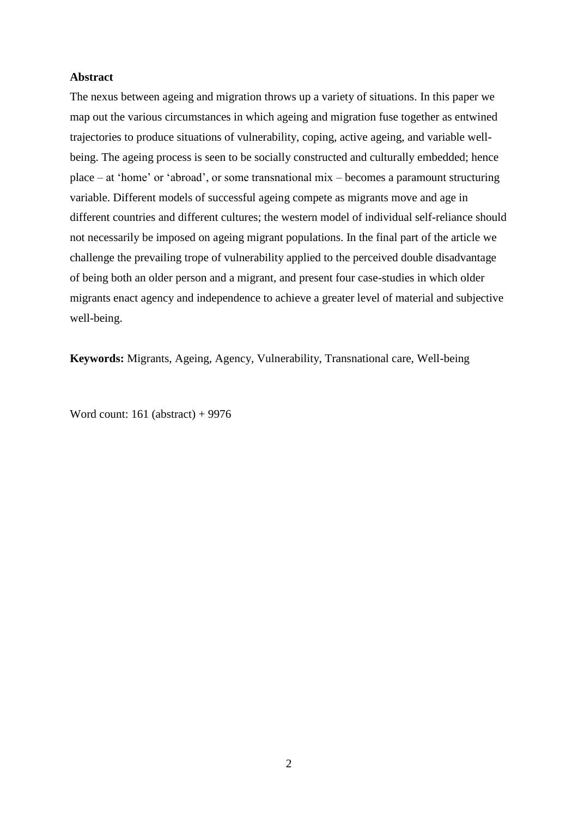# **Abstract**

The nexus between ageing and migration throws up a variety of situations. In this paper we map out the various circumstances in which ageing and migration fuse together as entwined trajectories to produce situations of vulnerability, coping, active ageing, and variable wellbeing. The ageing process is seen to be socially constructed and culturally embedded; hence place – at 'home' or 'abroad', or some transnational mix – becomes a paramount structuring variable. Different models of successful ageing compete as migrants move and age in different countries and different cultures; the western model of individual self-reliance should not necessarily be imposed on ageing migrant populations. In the final part of the article we challenge the prevailing trope of vulnerability applied to the perceived double disadvantage of being both an older person and a migrant, and present four case-studies in which older migrants enact agency and independence to achieve a greater level of material and subjective well-being.

**Keywords:** Migrants, Ageing, Agency, Vulnerability, Transnational care, Well-being

Word count: 161 (abstract) + 9976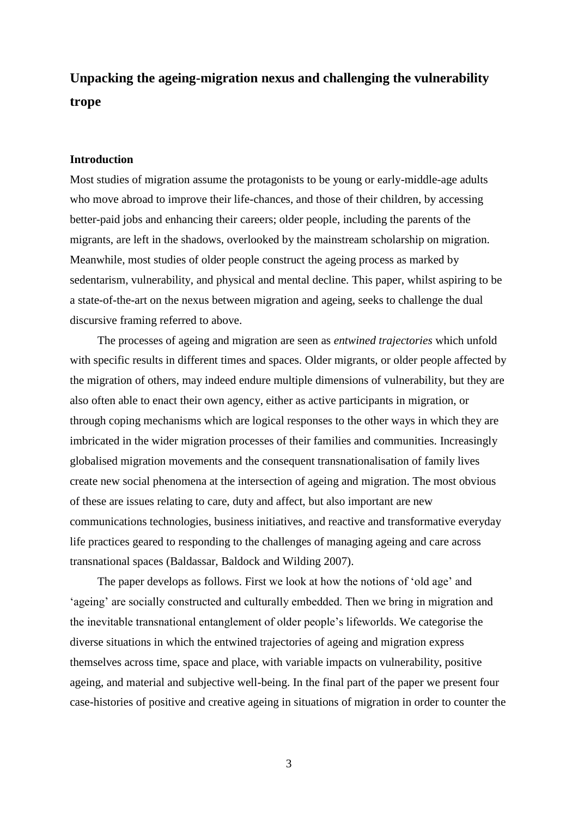# **Unpacking the ageing-migration nexus and challenging the vulnerability trope**

# **Introduction**

Most studies of migration assume the protagonists to be young or early-middle-age adults who move abroad to improve their life-chances, and those of their children, by accessing better-paid jobs and enhancing their careers; older people, including the parents of the migrants, are left in the shadows, overlooked by the mainstream scholarship on migration. Meanwhile, most studies of older people construct the ageing process as marked by sedentarism, vulnerability, and physical and mental decline. This paper, whilst aspiring to be a state-of-the-art on the nexus between migration and ageing, seeks to challenge the dual discursive framing referred to above.

The processes of ageing and migration are seen as *entwined trajectories* which unfold with specific results in different times and spaces. Older migrants, or older people affected by the migration of others, may indeed endure multiple dimensions of vulnerability, but they are also often able to enact their own agency, either as active participants in migration, or through coping mechanisms which are logical responses to the other ways in which they are imbricated in the wider migration processes of their families and communities. Increasingly globalised migration movements and the consequent transnationalisation of family lives create new social phenomena at the intersection of ageing and migration. The most obvious of these are issues relating to care, duty and affect, but also important are new communications technologies, business initiatives, and reactive and transformative everyday life practices geared to responding to the challenges of managing ageing and care across transnational spaces (Baldassar, Baldock and Wilding 2007).

The paper develops as follows. First we look at how the notions of 'old age' and 'ageing' are socially constructed and culturally embedded. Then we bring in migration and the inevitable transnational entanglement of older people's lifeworlds. We categorise the diverse situations in which the entwined trajectories of ageing and migration express themselves across time, space and place, with variable impacts on vulnerability, positive ageing, and material and subjective well-being. In the final part of the paper we present four case-histories of positive and creative ageing in situations of migration in order to counter the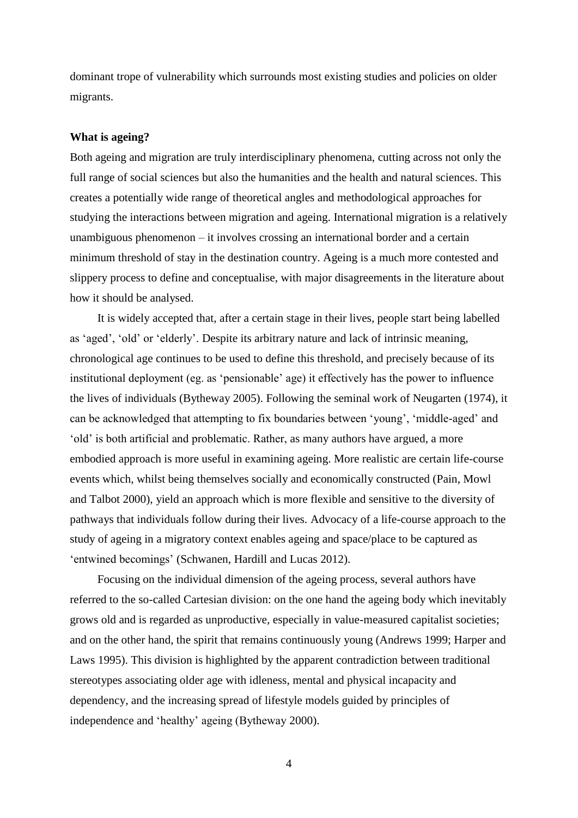dominant trope of vulnerability which surrounds most existing studies and policies on older migrants.

## **What is ageing?**

Both ageing and migration are truly interdisciplinary phenomena, cutting across not only the full range of social sciences but also the humanities and the health and natural sciences. This creates a potentially wide range of theoretical angles and methodological approaches for studying the interactions between migration and ageing. International migration is a relatively unambiguous phenomenon – it involves crossing an international border and a certain minimum threshold of stay in the destination country. Ageing is a much more contested and slippery process to define and conceptualise, with major disagreements in the literature about how it should be analysed.

It is widely accepted that, after a certain stage in their lives, people start being labelled as 'aged', 'old' or 'elderly'. Despite its arbitrary nature and lack of intrinsic meaning, chronological age continues to be used to define this threshold, and precisely because of its institutional deployment (eg. as 'pensionable' age) it effectively has the power to influence the lives of individuals (Bytheway 2005). Following the seminal work of Neugarten (1974), it can be acknowledged that attempting to fix boundaries between 'young', 'middle-aged' and 'old' is both artificial and problematic. Rather, as many authors have argued, a more embodied approach is more useful in examining ageing. More realistic are certain life-course events which, whilst being themselves socially and economically constructed (Pain, Mowl and Talbot 2000), yield an approach which is more flexible and sensitive to the diversity of pathways that individuals follow during their lives. Advocacy of a life-course approach to the study of ageing in a migratory context enables ageing and space/place to be captured as 'entwined becomings' (Schwanen, Hardill and Lucas 2012).

Focusing on the individual dimension of the ageing process, several authors have referred to the so-called Cartesian division: on the one hand the ageing body which inevitably grows old and is regarded as unproductive, especially in value-measured capitalist societies; and on the other hand, the spirit that remains continuously young (Andrews 1999; Harper and Laws 1995). This division is highlighted by the apparent contradiction between traditional stereotypes associating older age with idleness, mental and physical incapacity and dependency, and the increasing spread of lifestyle models guided by principles of independence and 'healthy' ageing (Bytheway 2000).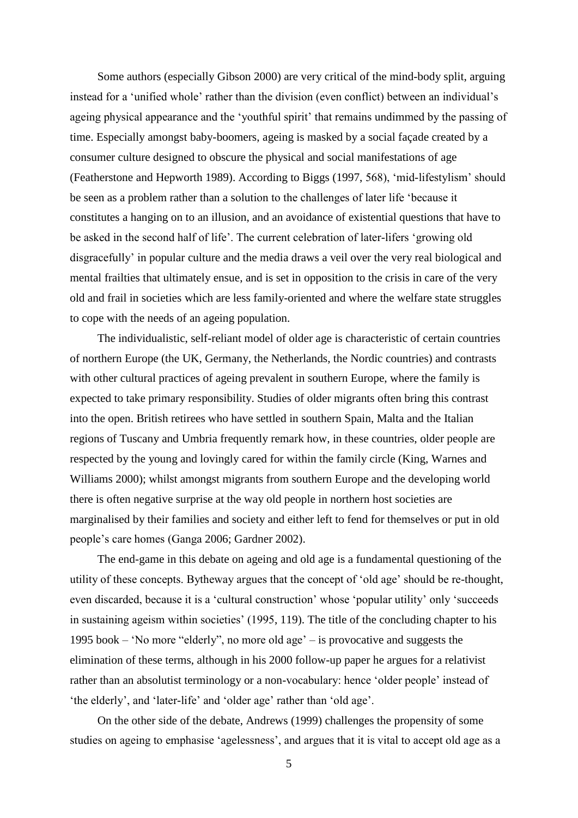Some authors (especially Gibson 2000) are very critical of the mind-body split, arguing instead for a 'unified whole' rather than the division (even conflict) between an individual's ageing physical appearance and the 'youthful spirit' that remains undimmed by the passing of time. Especially amongst baby-boomers, ageing is masked by a social façade created by a consumer culture designed to obscure the physical and social manifestations of age (Featherstone and Hepworth 1989). According to Biggs (1997, 568), 'mid-lifestylism' should be seen as a problem rather than a solution to the challenges of later life 'because it constitutes a hanging on to an illusion, and an avoidance of existential questions that have to be asked in the second half of life'. The current celebration of later-lifers 'growing old disgracefully' in popular culture and the media draws a veil over the very real biological and mental frailties that ultimately ensue, and is set in opposition to the crisis in care of the very old and frail in societies which are less family-oriented and where the welfare state struggles to cope with the needs of an ageing population.

The individualistic, self-reliant model of older age is characteristic of certain countries of northern Europe (the UK, Germany, the Netherlands, the Nordic countries) and contrasts with other cultural practices of ageing prevalent in southern Europe, where the family is expected to take primary responsibility. Studies of older migrants often bring this contrast into the open. British retirees who have settled in southern Spain, Malta and the Italian regions of Tuscany and Umbria frequently remark how, in these countries, older people are respected by the young and lovingly cared for within the family circle (King, Warnes and Williams 2000); whilst amongst migrants from southern Europe and the developing world there is often negative surprise at the way old people in northern host societies are marginalised by their families and society and either left to fend for themselves or put in old people's care homes (Ganga 2006; Gardner 2002).

The end-game in this debate on ageing and old age is a fundamental questioning of the utility of these concepts. Bytheway argues that the concept of 'old age' should be re-thought, even discarded, because it is a 'cultural construction' whose 'popular utility' only 'succeeds in sustaining ageism within societies' (1995, 119). The title of the concluding chapter to his 1995 book – 'No more "elderly", no more old age' – is provocative and suggests the elimination of these terms, although in his 2000 follow-up paper he argues for a relativist rather than an absolutist terminology or a non-vocabulary: hence 'older people' instead of 'the elderly', and 'later-life' and 'older age' rather than 'old age'.

On the other side of the debate, Andrews (1999) challenges the propensity of some studies on ageing to emphasise 'agelessness', and argues that it is vital to accept old age as a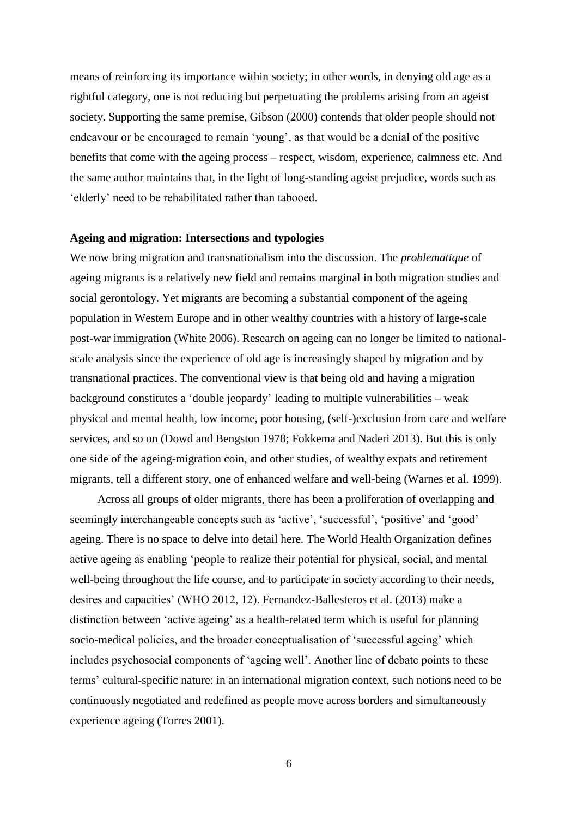means of reinforcing its importance within society; in other words, in denying old age as a rightful category, one is not reducing but perpetuating the problems arising from an ageist society. Supporting the same premise, Gibson (2000) contends that older people should not endeavour or be encouraged to remain 'young', as that would be a denial of the positive benefits that come with the ageing process – respect, wisdom, experience, calmness etc. And the same author maintains that, in the light of long-standing ageist prejudice, words such as 'elderly' need to be rehabilitated rather than tabooed.

# **Ageing and migration: Intersections and typologies**

We now bring migration and transnationalism into the discussion. The *problematique* of ageing migrants is a relatively new field and remains marginal in both migration studies and social gerontology. Yet migrants are becoming a substantial component of the ageing population in Western Europe and in other wealthy countries with a history of large-scale post-war immigration (White 2006). Research on ageing can no longer be limited to nationalscale analysis since the experience of old age is increasingly shaped by migration and by transnational practices. The conventional view is that being old and having a migration background constitutes a 'double jeopardy' leading to multiple vulnerabilities – weak physical and mental health, low income, poor housing, (self-)exclusion from care and welfare services, and so on (Dowd and Bengston 1978; Fokkema and Naderi 2013). But this is only one side of the ageing-migration coin, and other studies, of wealthy expats and retirement migrants, tell a different story, one of enhanced welfare and well-being (Warnes et al. 1999).

Across all groups of older migrants, there has been a proliferation of overlapping and seemingly interchangeable concepts such as 'active', 'successful', 'positive' and 'good' ageing. There is no space to delve into detail here. The World Health Organization defines active ageing as enabling 'people to realize their potential for physical, social, and mental well-being throughout the life course, and to participate in society according to their needs, desires and capacities' (WHO 2012, 12). Fernandez-Ballesteros et al. (2013) make a distinction between 'active ageing' as a health-related term which is useful for planning socio-medical policies, and the broader conceptualisation of 'successful ageing' which includes psychosocial components of 'ageing well'. Another line of debate points to these terms' cultural-specific nature: in an international migration context, such notions need to be continuously negotiated and redefined as people move across borders and simultaneously experience ageing (Torres 2001).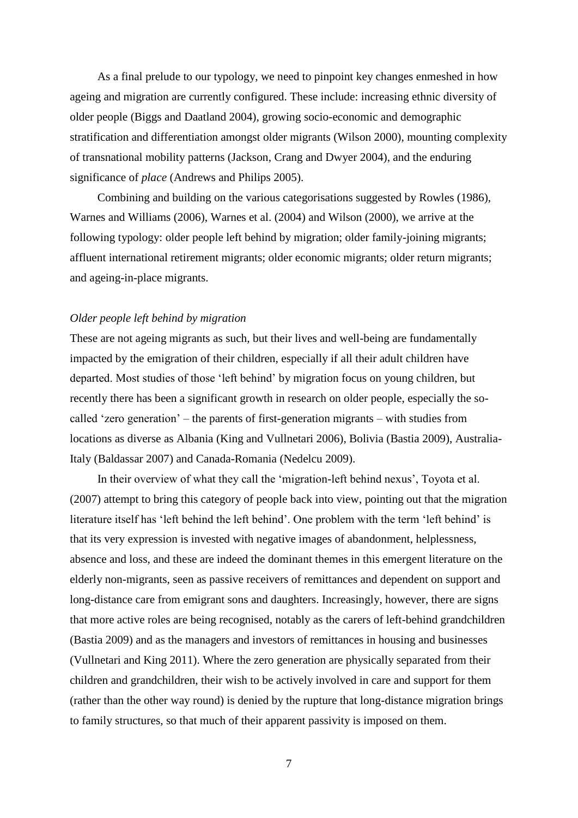As a final prelude to our typology, we need to pinpoint key changes enmeshed in how ageing and migration are currently configured. These include: increasing ethnic diversity of older people (Biggs and Daatland 2004), growing socio-economic and demographic stratification and differentiation amongst older migrants (Wilson 2000), mounting complexity of transnational mobility patterns (Jackson, Crang and Dwyer 2004), and the enduring significance of *place* (Andrews and Philips 2005).

Combining and building on the various categorisations suggested by Rowles (1986), Warnes and Williams (2006), Warnes et al. (2004) and Wilson (2000), we arrive at the following typology: older people left behind by migration; older family-joining migrants; affluent international retirement migrants; older economic migrants; older return migrants; and ageing-in-place migrants.

# *Older people left behind by migration*

These are not ageing migrants as such, but their lives and well-being are fundamentally impacted by the emigration of their children, especially if all their adult children have departed. Most studies of those 'left behind' by migration focus on young children, but recently there has been a significant growth in research on older people, especially the socalled 'zero generation' – the parents of first-generation migrants – with studies from locations as diverse as Albania (King and Vullnetari 2006), Bolivia (Bastia 2009), Australia-Italy (Baldassar 2007) and Canada-Romania (Nedelcu 2009).

In their overview of what they call the 'migration-left behind nexus', Toyota et al. (2007) attempt to bring this category of people back into view, pointing out that the migration literature itself has 'left behind the left behind'. One problem with the term 'left behind' is that its very expression is invested with negative images of abandonment, helplessness, absence and loss, and these are indeed the dominant themes in this emergent literature on the elderly non-migrants, seen as passive receivers of remittances and dependent on support and long-distance care from emigrant sons and daughters. Increasingly, however, there are signs that more active roles are being recognised, notably as the carers of left-behind grandchildren (Bastia 2009) and as the managers and investors of remittances in housing and businesses (Vullnetari and King 2011). Where the zero generation are physically separated from their children and grandchildren, their wish to be actively involved in care and support for them (rather than the other way round) is denied by the rupture that long-distance migration brings to family structures, so that much of their apparent passivity is imposed on them.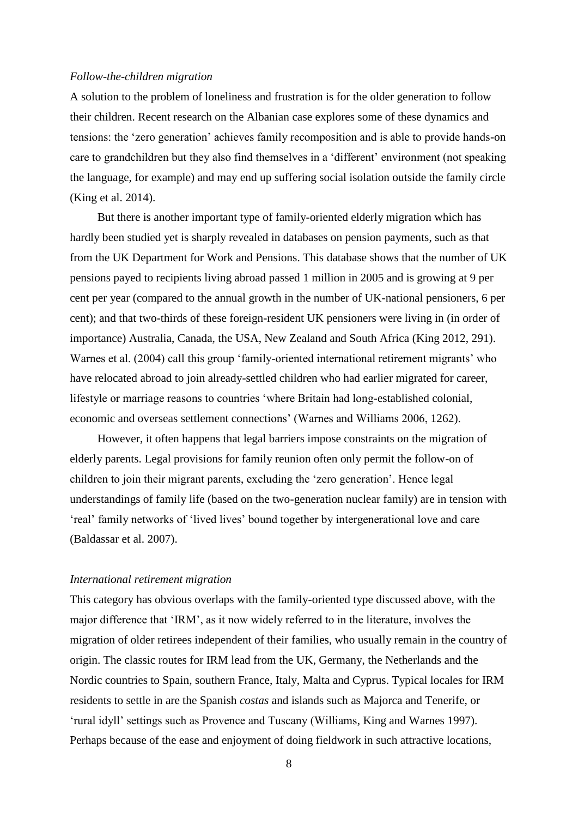# *Follow-the-children migration*

A solution to the problem of loneliness and frustration is for the older generation to follow their children. Recent research on the Albanian case explores some of these dynamics and tensions: the 'zero generation' achieves family recomposition and is able to provide hands-on care to grandchildren but they also find themselves in a 'different' environment (not speaking the language, for example) and may end up suffering social isolation outside the family circle (King et al. 2014).

But there is another important type of family-oriented elderly migration which has hardly been studied yet is sharply revealed in databases on pension payments, such as that from the UK Department for Work and Pensions. This database shows that the number of UK pensions payed to recipients living abroad passed 1 million in 2005 and is growing at 9 per cent per year (compared to the annual growth in the number of UK-national pensioners, 6 per cent); and that two-thirds of these foreign-resident UK pensioners were living in (in order of importance) Australia, Canada, the USA, New Zealand and South Africa (King 2012, 291). Warnes et al. (2004) call this group 'family-oriented international retirement migrants' who have relocated abroad to join already-settled children who had earlier migrated for career, lifestyle or marriage reasons to countries 'where Britain had long-established colonial, economic and overseas settlement connections' (Warnes and Williams 2006, 1262).

However, it often happens that legal barriers impose constraints on the migration of elderly parents. Legal provisions for family reunion often only permit the follow-on of children to join their migrant parents, excluding the 'zero generation'. Hence legal understandings of family life (based on the two-generation nuclear family) are in tension with 'real' family networks of 'lived lives' bound together by intergenerational love and care (Baldassar et al. 2007).

# *International retirement migration*

This category has obvious overlaps with the family-oriented type discussed above, with the major difference that 'IRM', as it now widely referred to in the literature, involves the migration of older retirees independent of their families, who usually remain in the country of origin. The classic routes for IRM lead from the UK, Germany, the Netherlands and the Nordic countries to Spain, southern France, Italy, Malta and Cyprus. Typical locales for IRM residents to settle in are the Spanish *costas* and islands such as Majorca and Tenerife, or 'rural idyll' settings such as Provence and Tuscany (Williams, King and Warnes 1997). Perhaps because of the ease and enjoyment of doing fieldwork in such attractive locations,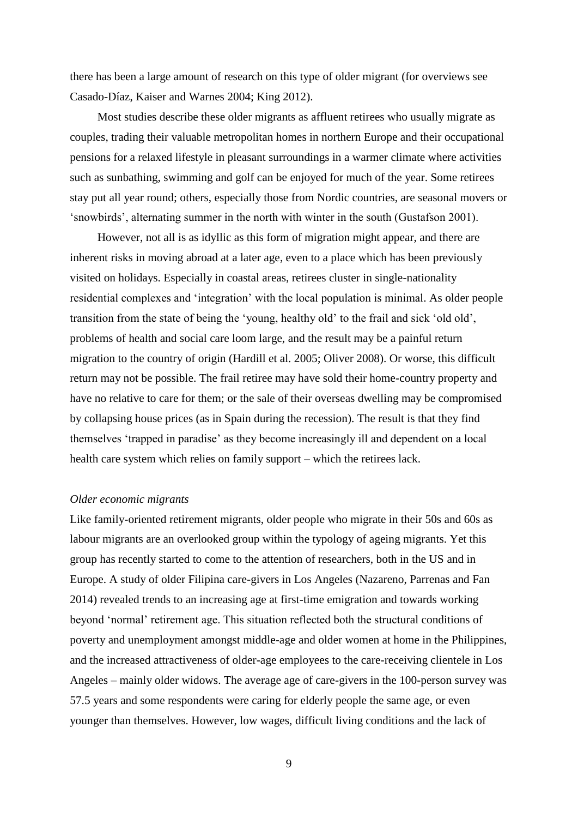there has been a large amount of research on this type of older migrant (for overviews see Casado-Díaz, Kaiser and Warnes 2004; King 2012).

Most studies describe these older migrants as affluent retirees who usually migrate as couples, trading their valuable metropolitan homes in northern Europe and their occupational pensions for a relaxed lifestyle in pleasant surroundings in a warmer climate where activities such as sunbathing, swimming and golf can be enjoyed for much of the year. Some retirees stay put all year round; others, especially those from Nordic countries, are seasonal movers or 'snowbirds', alternating summer in the north with winter in the south (Gustafson 2001).

However, not all is as idyllic as this form of migration might appear, and there are inherent risks in moving abroad at a later age, even to a place which has been previously visited on holidays. Especially in coastal areas, retirees cluster in single-nationality residential complexes and 'integration' with the local population is minimal. As older people transition from the state of being the 'young, healthy old' to the frail and sick 'old old', problems of health and social care loom large, and the result may be a painful return migration to the country of origin (Hardill et al. 2005; Oliver 2008). Or worse, this difficult return may not be possible. The frail retiree may have sold their home-country property and have no relative to care for them; or the sale of their overseas dwelling may be compromised by collapsing house prices (as in Spain during the recession). The result is that they find themselves 'trapped in paradise' as they become increasingly ill and dependent on a local health care system which relies on family support – which the retirees lack.

# *Older economic migrants*

Like family-oriented retirement migrants, older people who migrate in their 50s and 60s as labour migrants are an overlooked group within the typology of ageing migrants. Yet this group has recently started to come to the attention of researchers, both in the US and in Europe. A study of older Filipina care-givers in Los Angeles (Nazareno, Parrenas and Fan 2014) revealed trends to an increasing age at first-time emigration and towards working beyond 'normal' retirement age. This situation reflected both the structural conditions of poverty and unemployment amongst middle-age and older women at home in the Philippines, and the increased attractiveness of older-age employees to the care-receiving clientele in Los Angeles – mainly older widows. The average age of care-givers in the 100-person survey was 57.5 years and some respondents were caring for elderly people the same age, or even younger than themselves. However, low wages, difficult living conditions and the lack of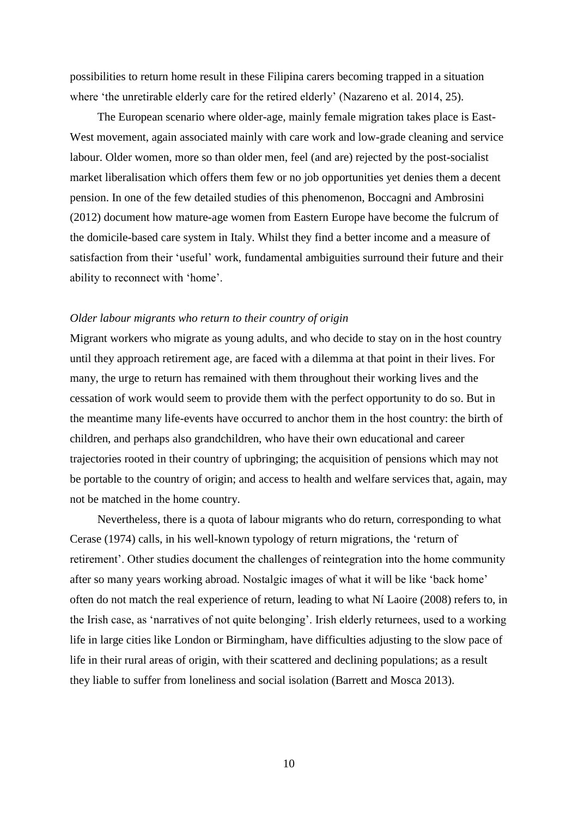possibilities to return home result in these Filipina carers becoming trapped in a situation where 'the unretirable elderly care for the retired elderly' (Nazareno et al. 2014, 25).

The European scenario where older-age, mainly female migration takes place is East-West movement, again associated mainly with care work and low-grade cleaning and service labour. Older women, more so than older men, feel (and are) rejected by the post-socialist market liberalisation which offers them few or no job opportunities yet denies them a decent pension. In one of the few detailed studies of this phenomenon, Boccagni and Ambrosini (2012) document how mature-age women from Eastern Europe have become the fulcrum of the domicile-based care system in Italy. Whilst they find a better income and a measure of satisfaction from their 'useful' work, fundamental ambiguities surround their future and their ability to reconnect with 'home'.

#### *Older labour migrants who return to their country of origin*

Migrant workers who migrate as young adults, and who decide to stay on in the host country until they approach retirement age, are faced with a dilemma at that point in their lives. For many, the urge to return has remained with them throughout their working lives and the cessation of work would seem to provide them with the perfect opportunity to do so. But in the meantime many life-events have occurred to anchor them in the host country: the birth of children, and perhaps also grandchildren, who have their own educational and career trajectories rooted in their country of upbringing; the acquisition of pensions which may not be portable to the country of origin; and access to health and welfare services that, again, may not be matched in the home country.

Nevertheless, there is a quota of labour migrants who do return, corresponding to what Cerase (1974) calls, in his well-known typology of return migrations, the 'return of retirement'. Other studies document the challenges of reintegration into the home community after so many years working abroad. Nostalgic images of what it will be like 'back home' often do not match the real experience of return, leading to what Ní Laoire (2008) refers to, in the Irish case, as 'narratives of not quite belonging'. Irish elderly returnees, used to a working life in large cities like London or Birmingham, have difficulties adjusting to the slow pace of life in their rural areas of origin, with their scattered and declining populations; as a result they liable to suffer from loneliness and social isolation (Barrett and Mosca 2013).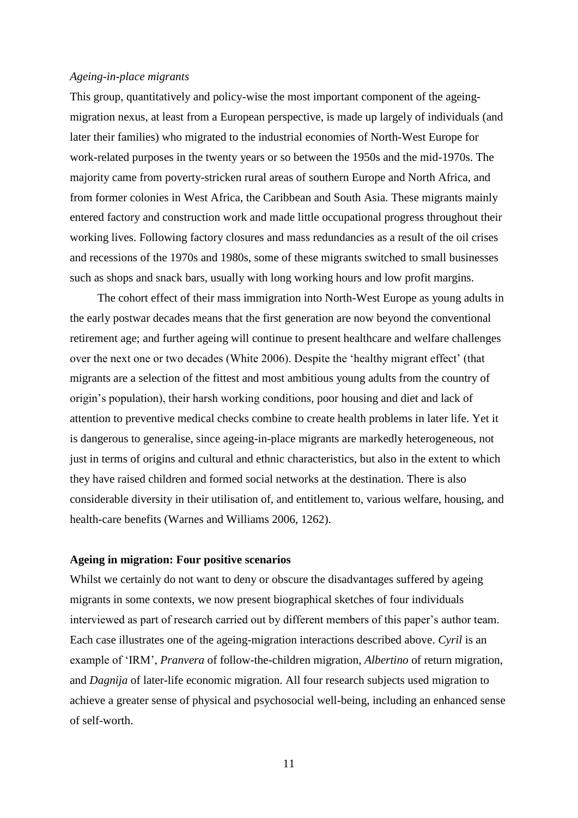# *Ageing-in-place migrants*

This group, quantitatively and policy-wise the most important component of the ageingmigration nexus, at least from a European perspective, is made up largely of individuals (and later their families) who migrated to the industrial economies of North-West Europe for work-related purposes in the twenty years or so between the 1950s and the mid-1970s. The majority came from poverty-stricken rural areas of southern Europe and North Africa, and from former colonies in West Africa, the Caribbean and South Asia. These migrants mainly entered factory and construction work and made little occupational progress throughout their working lives. Following factory closures and mass redundancies as a result of the oil crises and recessions of the 1970s and 1980s, some of these migrants switched to small businesses such as shops and snack bars, usually with long working hours and low profit margins.

The cohort effect of their mass immigration into North-West Europe as young adults in the early postwar decades means that the first generation are now beyond the conventional retirement age; and further ageing will continue to present healthcare and welfare challenges over the next one or two decades (White 2006). Despite the 'healthy migrant effect' (that migrants are a selection of the fittest and most ambitious young adults from the country of origin's population), their harsh working conditions, poor housing and diet and lack of attention to preventive medical checks combine to create health problems in later life. Yet it is dangerous to generalise, since ageing-in-place migrants are markedly heterogeneous, not just in terms of origins and cultural and ethnic characteristics, but also in the extent to which they have raised children and formed social networks at the destination. There is also considerable diversity in their utilisation of, and entitlement to, various welfare, housing, and health-care benefits (Warnes and Williams 2006, 1262).

# **Ageing in migration: Four positive scenarios**

Whilst we certainly do not want to deny or obscure the disadvantages suffered by ageing migrants in some contexts, we now present biographical sketches of four individuals interviewed as part of research carried out by different members of this paper's author team. Each case illustrates one of the ageing-migration interactions described above. *Cyril* is an example of 'IRM', *Pranvera* of follow-the-children migration, *Albertino* of return migration, and *Dagnija* of later-life economic migration. All four research subjects used migration to achieve a greater sense of physical and psychosocial well-being, including an enhanced sense of self-worth.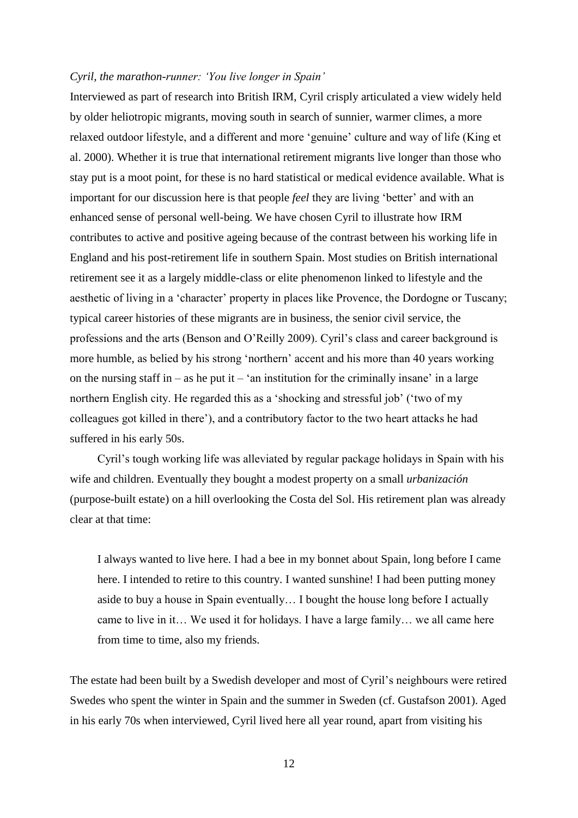# *Cyril, the marathon-runner: 'You live longer in Spain'*

Interviewed as part of research into British IRM, Cyril crisply articulated a view widely held by older heliotropic migrants, moving south in search of sunnier, warmer climes, a more relaxed outdoor lifestyle, and a different and more 'genuine' culture and way of life (King et al. 2000). Whether it is true that international retirement migrants live longer than those who stay put is a moot point, for these is no hard statistical or medical evidence available. What is important for our discussion here is that people *feel* they are living 'better' and with an enhanced sense of personal well-being. We have chosen Cyril to illustrate how IRM contributes to active and positive ageing because of the contrast between his working life in England and his post-retirement life in southern Spain. Most studies on British international retirement see it as a largely middle-class or elite phenomenon linked to lifestyle and the aesthetic of living in a 'character' property in places like Provence, the Dordogne or Tuscany; typical career histories of these migrants are in business, the senior civil service, the professions and the arts (Benson and O'Reilly 2009). Cyril's class and career background is more humble, as belied by his strong 'northern' accent and his more than 40 years working on the nursing staff in – as he put it – 'an institution for the criminally insane' in a large northern English city. He regarded this as a 'shocking and stressful job' ('two of my colleagues got killed in there'), and a contributory factor to the two heart attacks he had suffered in his early 50s.

Cyril's tough working life was alleviated by regular package holidays in Spain with his wife and children. Eventually they bought a modest property on a small *urbanización*  (purpose-built estate) on a hill overlooking the Costa del Sol. His retirement plan was already clear at that time:

I always wanted to live here. I had a bee in my bonnet about Spain, long before I came here. I intended to retire to this country. I wanted sunshine! I had been putting money aside to buy a house in Spain eventually… I bought the house long before I actually came to live in it… We used it for holidays. I have a large family… we all came here from time to time, also my friends.

The estate had been built by a Swedish developer and most of Cyril's neighbours were retired Swedes who spent the winter in Spain and the summer in Sweden (cf. Gustafson 2001). Aged in his early 70s when interviewed, Cyril lived here all year round, apart from visiting his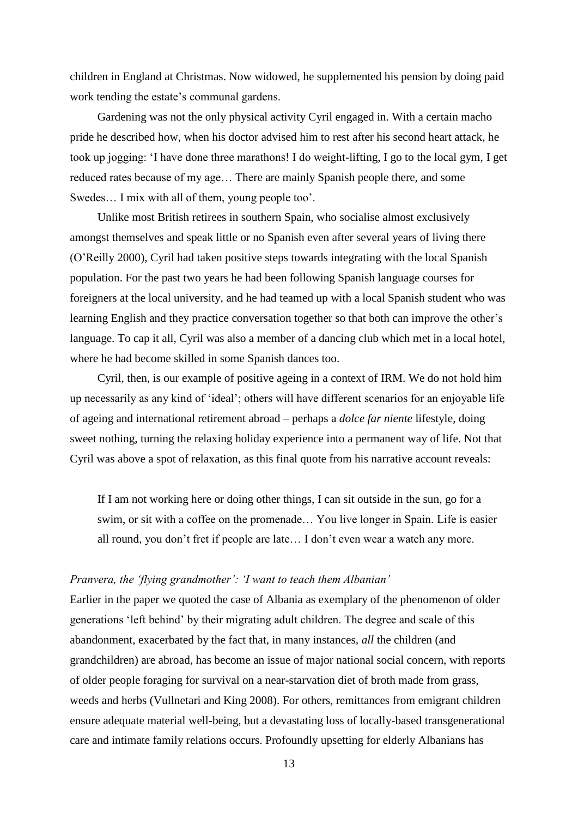children in England at Christmas. Now widowed, he supplemented his pension by doing paid work tending the estate's communal gardens.

Gardening was not the only physical activity Cyril engaged in. With a certain macho pride he described how, when his doctor advised him to rest after his second heart attack, he took up jogging: 'I have done three marathons! I do weight-lifting, I go to the local gym, I get reduced rates because of my age… There are mainly Spanish people there, and some Swedes… I mix with all of them, young people too'.

Unlike most British retirees in southern Spain, who socialise almost exclusively amongst themselves and speak little or no Spanish even after several years of living there (O'Reilly 2000), Cyril had taken positive steps towards integrating with the local Spanish population. For the past two years he had been following Spanish language courses for foreigners at the local university, and he had teamed up with a local Spanish student who was learning English and they practice conversation together so that both can improve the other's language. To cap it all, Cyril was also a member of a dancing club which met in a local hotel, where he had become skilled in some Spanish dances too.

Cyril, then, is our example of positive ageing in a context of IRM. We do not hold him up necessarily as any kind of 'ideal'; others will have different scenarios for an enjoyable life of ageing and international retirement abroad – perhaps a *dolce far niente* lifestyle, doing sweet nothing, turning the relaxing holiday experience into a permanent way of life. Not that Cyril was above a spot of relaxation, as this final quote from his narrative account reveals:

If I am not working here or doing other things, I can sit outside in the sun, go for a swim, or sit with a coffee on the promenade… You live longer in Spain. Life is easier all round, you don't fret if people are late… I don't even wear a watch any more.

# *Pranvera, the 'flying grandmother': 'I want to teach them Albanian'*

Earlier in the paper we quoted the case of Albania as exemplary of the phenomenon of older generations 'left behind' by their migrating adult children. The degree and scale of this abandonment, exacerbated by the fact that, in many instances, *all* the children (and grandchildren) are abroad, has become an issue of major national social concern, with reports of older people foraging for survival on a near-starvation diet of broth made from grass, weeds and herbs (Vullnetari and King 2008). For others, remittances from emigrant children ensure adequate material well-being, but a devastating loss of locally-based transgenerational care and intimate family relations occurs. Profoundly upsetting for elderly Albanians has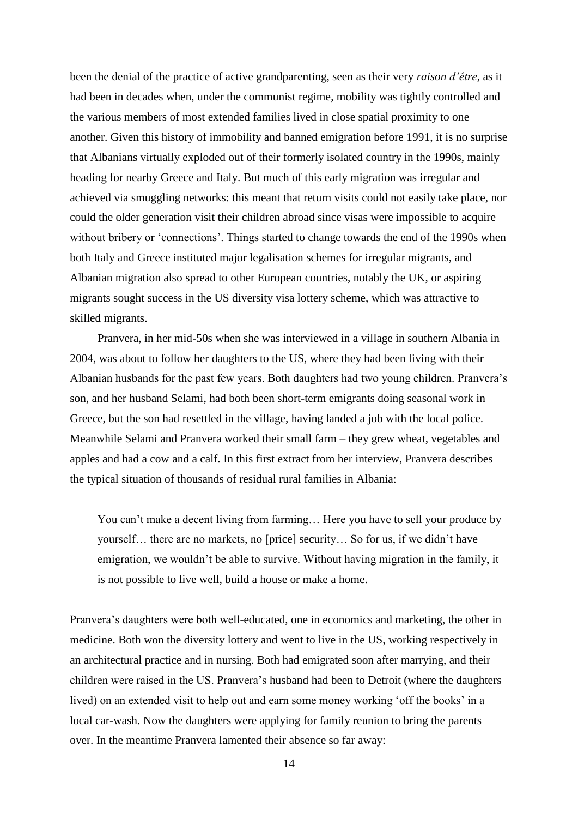been the denial of the practice of active grandparenting, seen as their very *raison d'être*, as it had been in decades when, under the communist regime, mobility was tightly controlled and the various members of most extended families lived in close spatial proximity to one another. Given this history of immobility and banned emigration before 1991, it is no surprise that Albanians virtually exploded out of their formerly isolated country in the 1990s, mainly heading for nearby Greece and Italy. But much of this early migration was irregular and achieved via smuggling networks: this meant that return visits could not easily take place, nor could the older generation visit their children abroad since visas were impossible to acquire without bribery or 'connections'. Things started to change towards the end of the 1990s when both Italy and Greece instituted major legalisation schemes for irregular migrants, and Albanian migration also spread to other European countries, notably the UK, or aspiring migrants sought success in the US diversity visa lottery scheme, which was attractive to skilled migrants.

Pranvera, in her mid-50s when she was interviewed in a village in southern Albania in 2004, was about to follow her daughters to the US, where they had been living with their Albanian husbands for the past few years. Both daughters had two young children. Pranvera's son, and her husband Selami, had both been short-term emigrants doing seasonal work in Greece, but the son had resettled in the village, having landed a job with the local police. Meanwhile Selami and Pranvera worked their small farm – they grew wheat, vegetables and apples and had a cow and a calf. In this first extract from her interview, Pranvera describes the typical situation of thousands of residual rural families in Albania:

You can't make a decent living from farming… Here you have to sell your produce by yourself… there are no markets, no [price] security… So for us, if we didn't have emigration, we wouldn't be able to survive. Without having migration in the family, it is not possible to live well, build a house or make a home.

Pranvera's daughters were both well-educated, one in economics and marketing, the other in medicine. Both won the diversity lottery and went to live in the US, working respectively in an architectural practice and in nursing. Both had emigrated soon after marrying, and their children were raised in the US. Pranvera's husband had been to Detroit (where the daughters lived) on an extended visit to help out and earn some money working 'off the books' in a local car-wash. Now the daughters were applying for family reunion to bring the parents over. In the meantime Pranvera lamented their absence so far away: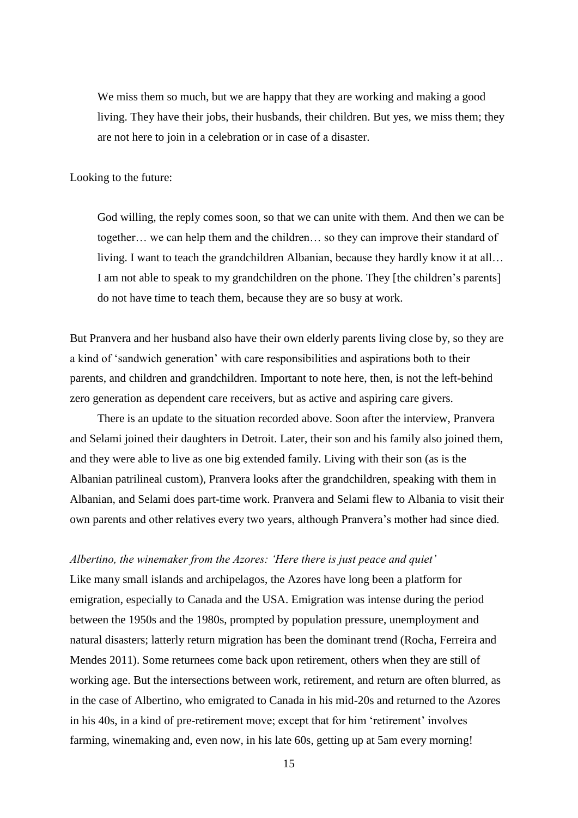We miss them so much, but we are happy that they are working and making a good living. They have their jobs, their husbands, their children. But yes, we miss them; they are not here to join in a celebration or in case of a disaster.

Looking to the future:

God willing, the reply comes soon, so that we can unite with them. And then we can be together… we can help them and the children… so they can improve their standard of living. I want to teach the grandchildren Albanian, because they hardly know it at all… I am not able to speak to my grandchildren on the phone. They [the children's parents] do not have time to teach them, because they are so busy at work.

But Pranvera and her husband also have their own elderly parents living close by, so they are a kind of 'sandwich generation' with care responsibilities and aspirations both to their parents, and children and grandchildren. Important to note here, then, is not the left-behind zero generation as dependent care receivers, but as active and aspiring care givers.

There is an update to the situation recorded above. Soon after the interview, Pranvera and Selami joined their daughters in Detroit. Later, their son and his family also joined them, and they were able to live as one big extended family. Living with their son (as is the Albanian patrilineal custom), Pranvera looks after the grandchildren, speaking with them in Albanian, and Selami does part-time work. Pranvera and Selami flew to Albania to visit their own parents and other relatives every two years, although Pranvera's mother had since died.

# *Albertino, the winemaker from the Azores: 'Here there is just peace and quiet'*

Like many small islands and archipelagos, the Azores have long been a platform for emigration, especially to Canada and the USA. Emigration was intense during the period between the 1950s and the 1980s, prompted by population pressure, unemployment and natural disasters; latterly return migration has been the dominant trend (Rocha, Ferreira and Mendes 2011). Some returnees come back upon retirement, others when they are still of working age. But the intersections between work, retirement, and return are often blurred, as in the case of Albertino, who emigrated to Canada in his mid-20s and returned to the Azores in his 40s, in a kind of pre-retirement move; except that for him 'retirement' involves farming, winemaking and, even now, in his late 60s, getting up at 5am every morning!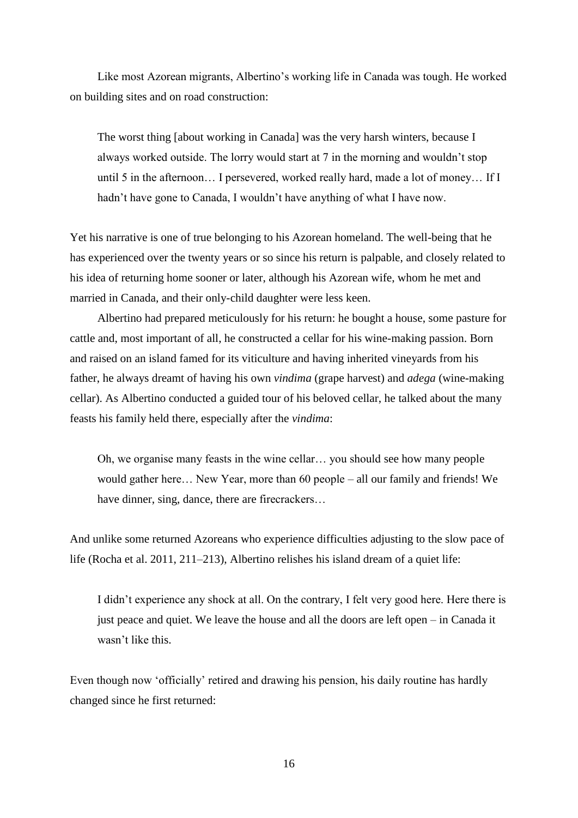Like most Azorean migrants, Albertino's working life in Canada was tough. He worked on building sites and on road construction:

The worst thing [about working in Canada] was the very harsh winters, because I always worked outside. The lorry would start at 7 in the morning and wouldn't stop until 5 in the afternoon… I persevered, worked really hard, made a lot of money… If I hadn't have gone to Canada, I wouldn't have anything of what I have now.

Yet his narrative is one of true belonging to his Azorean homeland. The well-being that he has experienced over the twenty years or so since his return is palpable, and closely related to his idea of returning home sooner or later, although his Azorean wife, whom he met and married in Canada, and their only-child daughter were less keen.

Albertino had prepared meticulously for his return: he bought a house, some pasture for cattle and, most important of all, he constructed a cellar for his wine-making passion. Born and raised on an island famed for its viticulture and having inherited vineyards from his father, he always dreamt of having his own *vindima* (grape harvest) and *adega* (wine-making cellar). As Albertino conducted a guided tour of his beloved cellar, he talked about the many feasts his family held there, especially after the *vindima*:

Oh, we organise many feasts in the wine cellar… you should see how many people would gather here… New Year, more than 60 people – all our family and friends! We have dinner, sing, dance, there are firecrackers...

And unlike some returned Azoreans who experience difficulties adjusting to the slow pace of life (Rocha et al. 2011, 211–213), Albertino relishes his island dream of a quiet life:

I didn't experience any shock at all. On the contrary, I felt very good here. Here there is just peace and quiet. We leave the house and all the doors are left open – in Canada it wasn't like this.

Even though now 'officially' retired and drawing his pension, his daily routine has hardly changed since he first returned: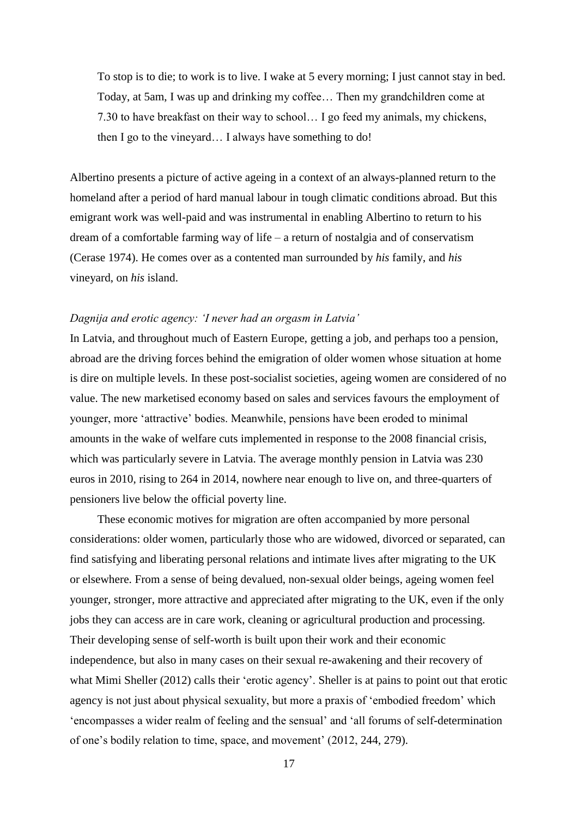To stop is to die; to work is to live. I wake at 5 every morning; I just cannot stay in bed. Today, at 5am, I was up and drinking my coffee… Then my grandchildren come at 7.30 to have breakfast on their way to school… I go feed my animals, my chickens, then I go to the vineyard… I always have something to do!

Albertino presents a picture of active ageing in a context of an always-planned return to the homeland after a period of hard manual labour in tough climatic conditions abroad. But this emigrant work was well-paid and was instrumental in enabling Albertino to return to his dream of a comfortable farming way of life – a return of nostalgia and of conservatism (Cerase 1974). He comes over as a contented man surrounded by *his* family, and *his*  vineyard, on *his* island.

# *Dagnija and erotic agency: 'I never had an orgasm in Latvia'*

In Latvia, and throughout much of Eastern Europe, getting a job, and perhaps too a pension, abroad are the driving forces behind the emigration of older women whose situation at home is dire on multiple levels. In these post-socialist societies, ageing women are considered of no value. The new marketised economy based on sales and services favours the employment of younger, more 'attractive' bodies. Meanwhile, pensions have been eroded to minimal amounts in the wake of welfare cuts implemented in response to the 2008 financial crisis, which was particularly severe in Latvia. The average monthly pension in Latvia was 230 euros in 2010, rising to 264 in 2014, nowhere near enough to live on, and three-quarters of pensioners live below the official poverty line.

These economic motives for migration are often accompanied by more personal considerations: older women, particularly those who are widowed, divorced or separated, can find satisfying and liberating personal relations and intimate lives after migrating to the UK or elsewhere. From a sense of being devalued, non-sexual older beings, ageing women feel younger, stronger, more attractive and appreciated after migrating to the UK, even if the only jobs they can access are in care work, cleaning or agricultural production and processing. Their developing sense of self-worth is built upon their work and their economic independence, but also in many cases on their sexual re-awakening and their recovery of what Mimi Sheller (2012) calls their 'erotic agency'. Sheller is at pains to point out that erotic agency is not just about physical sexuality, but more a praxis of 'embodied freedom' which 'encompasses a wider realm of feeling and the sensual' and 'all forums of self-determination of one's bodily relation to time, space, and movement' (2012, 244, 279).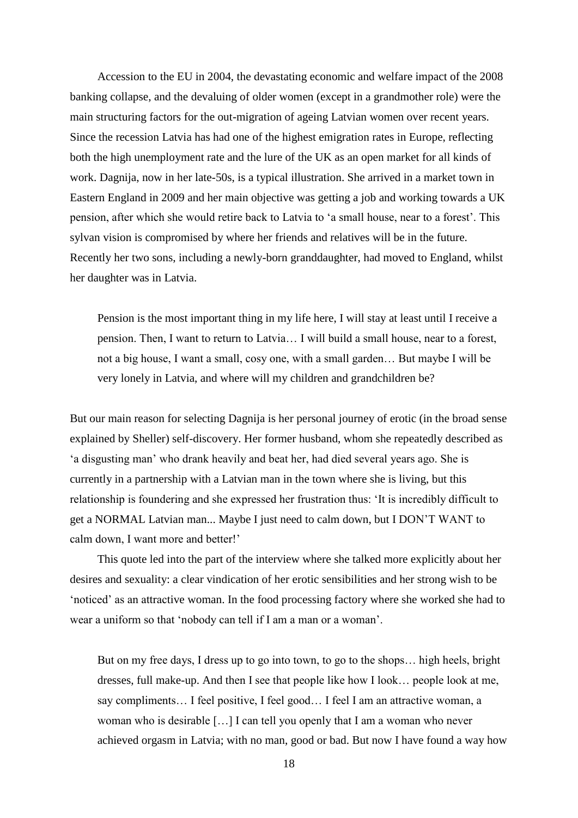Accession to the EU in 2004, the devastating economic and welfare impact of the 2008 banking collapse, and the devaluing of older women (except in a grandmother role) were the main structuring factors for the out-migration of ageing Latvian women over recent years. Since the recession Latvia has had one of the highest emigration rates in Europe, reflecting both the high unemployment rate and the lure of the UK as an open market for all kinds of work. Dagnija, now in her late-50s, is a typical illustration. She arrived in a market town in Eastern England in 2009 and her main objective was getting a job and working towards a UK pension, after which she would retire back to Latvia to 'a small house, near to a forest'. This sylvan vision is compromised by where her friends and relatives will be in the future. Recently her two sons, including a newly-born granddaughter, had moved to England, whilst her daughter was in Latvia.

Pension is the most important thing in my life here, I will stay at least until I receive a pension. Then, I want to return to Latvia… I will build a small house, near to a forest, not a big house, I want a small, cosy one, with a small garden… But maybe I will be very lonely in Latvia, and where will my children and grandchildren be?

But our main reason for selecting Dagnija is her personal journey of erotic (in the broad sense explained by Sheller) self-discovery. Her former husband, whom she repeatedly described as 'a disgusting man' who drank heavily and beat her, had died several years ago. She is currently in a partnership with a Latvian man in the town where she is living, but this relationship is foundering and she expressed her frustration thus: 'It is incredibly difficult to get a NORMAL Latvian man... Maybe I just need to calm down, but I DON'T WANT to calm down, I want more and better!'

This quote led into the part of the interview where she talked more explicitly about her desires and sexuality: a clear vindication of her erotic sensibilities and her strong wish to be 'noticed' as an attractive woman. In the food processing factory where she worked she had to wear a uniform so that 'nobody can tell if I am a man or a woman'.

But on my free days, I dress up to go into town, to go to the shops… high heels, bright dresses, full make-up. And then I see that people like how I look… people look at me, say compliments… I feel positive, I feel good… I feel I am an attractive woman, a woman who is desirable […] I can tell you openly that I am a woman who never achieved orgasm in Latvia; with no man, good or bad. But now I have found a way how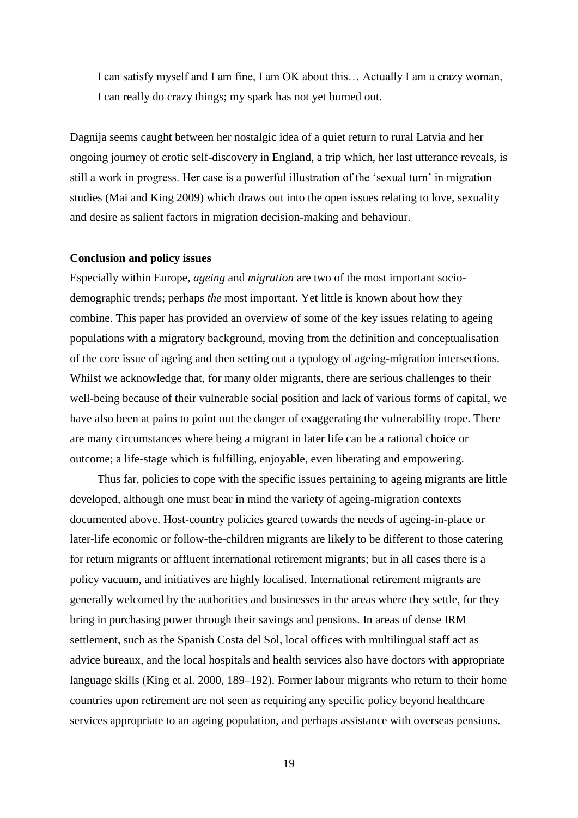I can satisfy myself and I am fine, I am OK about this… Actually I am a crazy woman, I can really do crazy things; my spark has not yet burned out.

Dagnija seems caught between her nostalgic idea of a quiet return to rural Latvia and her ongoing journey of erotic self-discovery in England, a trip which, her last utterance reveals, is still a work in progress. Her case is a powerful illustration of the 'sexual turn' in migration studies (Mai and King 2009) which draws out into the open issues relating to love, sexuality and desire as salient factors in migration decision-making and behaviour.

## **Conclusion and policy issues**

Especially within Europe, *ageing* and *migration* are two of the most important sociodemographic trends; perhaps *the* most important. Yet little is known about how they combine. This paper has provided an overview of some of the key issues relating to ageing populations with a migratory background, moving from the definition and conceptualisation of the core issue of ageing and then setting out a typology of ageing-migration intersections. Whilst we acknowledge that, for many older migrants, there are serious challenges to their well-being because of their vulnerable social position and lack of various forms of capital, we have also been at pains to point out the danger of exaggerating the vulnerability trope. There are many circumstances where being a migrant in later life can be a rational choice or outcome; a life-stage which is fulfilling, enjoyable, even liberating and empowering.

Thus far, policies to cope with the specific issues pertaining to ageing migrants are little developed, although one must bear in mind the variety of ageing-migration contexts documented above. Host-country policies geared towards the needs of ageing-in-place or later-life economic or follow-the-children migrants are likely to be different to those catering for return migrants or affluent international retirement migrants; but in all cases there is a policy vacuum, and initiatives are highly localised. International retirement migrants are generally welcomed by the authorities and businesses in the areas where they settle, for they bring in purchasing power through their savings and pensions. In areas of dense IRM settlement, such as the Spanish Costa del Sol, local offices with multilingual staff act as advice bureaux, and the local hospitals and health services also have doctors with appropriate language skills (King et al. 2000, 189–192). Former labour migrants who return to their home countries upon retirement are not seen as requiring any specific policy beyond healthcare services appropriate to an ageing population, and perhaps assistance with overseas pensions.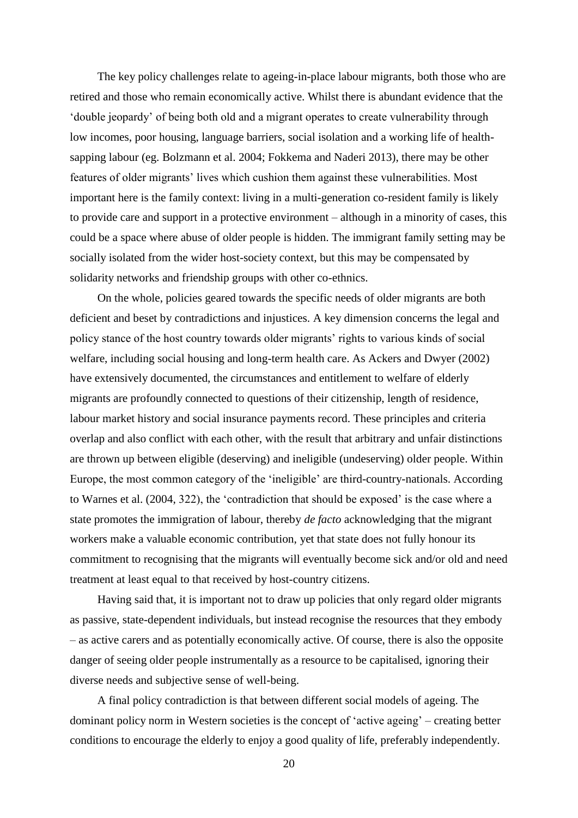The key policy challenges relate to ageing-in-place labour migrants, both those who are retired and those who remain economically active. Whilst there is abundant evidence that the 'double jeopardy' of being both old and a migrant operates to create vulnerability through low incomes, poor housing, language barriers, social isolation and a working life of healthsapping labour (eg. Bolzmann et al. 2004; Fokkema and Naderi 2013), there may be other features of older migrants' lives which cushion them against these vulnerabilities. Most important here is the family context: living in a multi-generation co-resident family is likely to provide care and support in a protective environment – although in a minority of cases, this could be a space where abuse of older people is hidden. The immigrant family setting may be socially isolated from the wider host-society context, but this may be compensated by solidarity networks and friendship groups with other co-ethnics.

On the whole, policies geared towards the specific needs of older migrants are both deficient and beset by contradictions and injustices. A key dimension concerns the legal and policy stance of the host country towards older migrants' rights to various kinds of social welfare, including social housing and long-term health care. As Ackers and Dwyer (2002) have extensively documented, the circumstances and entitlement to welfare of elderly migrants are profoundly connected to questions of their citizenship, length of residence, labour market history and social insurance payments record. These principles and criteria overlap and also conflict with each other, with the result that arbitrary and unfair distinctions are thrown up between eligible (deserving) and ineligible (undeserving) older people. Within Europe, the most common category of the 'ineligible' are third-country-nationals. According to Warnes et al. (2004, 322), the 'contradiction that should be exposed' is the case where a state promotes the immigration of labour, thereby *de facto* acknowledging that the migrant workers make a valuable economic contribution, yet that state does not fully honour its commitment to recognising that the migrants will eventually become sick and/or old and need treatment at least equal to that received by host-country citizens.

Having said that, it is important not to draw up policies that only regard older migrants as passive, state-dependent individuals, but instead recognise the resources that they embody – as active carers and as potentially economically active. Of course, there is also the opposite danger of seeing older people instrumentally as a resource to be capitalised, ignoring their diverse needs and subjective sense of well-being.

A final policy contradiction is that between different social models of ageing. The dominant policy norm in Western societies is the concept of 'active ageing' – creating better conditions to encourage the elderly to enjoy a good quality of life, preferably independently.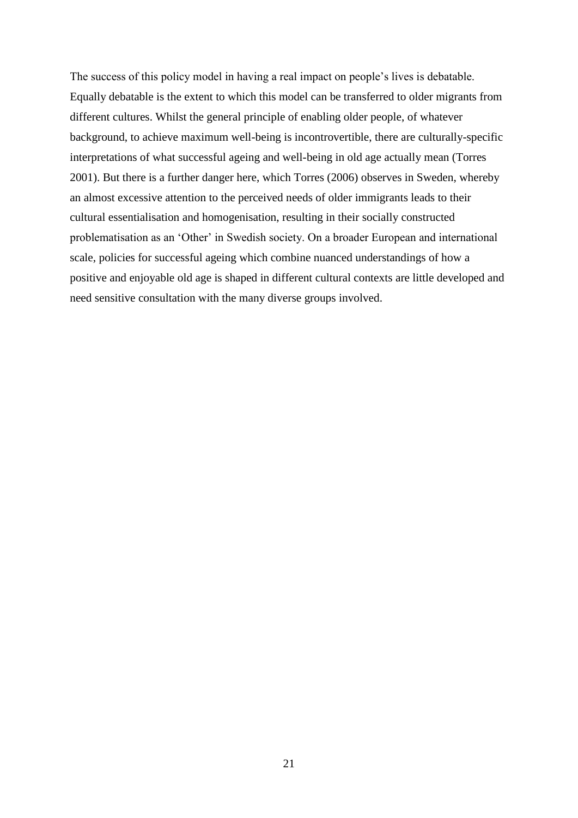The success of this policy model in having a real impact on people's lives is debatable. Equally debatable is the extent to which this model can be transferred to older migrants from different cultures. Whilst the general principle of enabling older people, of whatever background, to achieve maximum well-being is incontrovertible, there are culturally-specific interpretations of what successful ageing and well-being in old age actually mean (Torres 2001). But there is a further danger here, which Torres (2006) observes in Sweden, whereby an almost excessive attention to the perceived needs of older immigrants leads to their cultural essentialisation and homogenisation, resulting in their socially constructed problematisation as an 'Other' in Swedish society. On a broader European and international scale, policies for successful ageing which combine nuanced understandings of how a positive and enjoyable old age is shaped in different cultural contexts are little developed and need sensitive consultation with the many diverse groups involved.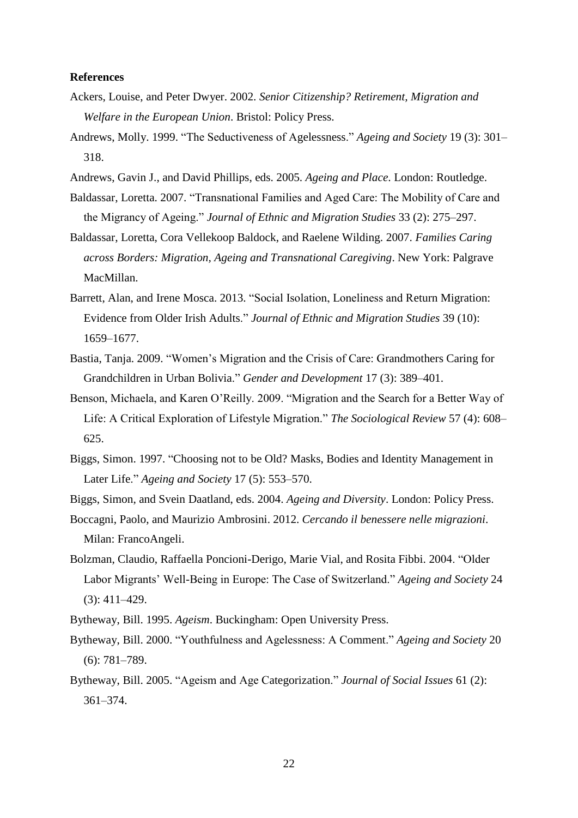# **References**

- Ackers, Louise, and Peter Dwyer. 2002. *Senior Citizenship? Retirement, Migration and Welfare in the European Union*. Bristol: Policy Press.
- Andrews, Molly. 1999. "The Seductiveness of Agelessness." *Ageing and Society* 19 (3): 301– 318.
- Andrews, Gavin J., and David Phillips, eds. 2005. *Ageing and Place*. London: Routledge.
- Baldassar, Loretta. 2007. "Transnational Families and Aged Care: The Mobility of Care and the Migrancy of Ageing." *Journal of Ethnic and Migration Studies* 33 (2): 275–297.
- Baldassar, Loretta, Cora Vellekoop Baldock, and Raelene Wilding. 2007. *Families Caring across Borders: Migration, Ageing and Transnational Caregiving*. New York: Palgrave MacMillan.
- Barrett, Alan, and Irene Mosca. 2013. "Social Isolation, Loneliness and Return Migration: Evidence from Older Irish Adults." *Journal of Ethnic and Migration Studies* 39 (10): 1659–1677.
- Bastia, Tanja. 2009. "Women's Migration and the Crisis of Care: Grandmothers Caring for Grandchildren in Urban Bolivia." *Gender and Development* 17 (3): 389–401.
- Benson, Michaela, and Karen O'Reilly. 2009. "Migration and the Search for a Better Way of Life: A Critical Exploration of Lifestyle Migration." *The Sociological Review* 57 (4): 608– 625.
- Biggs, Simon. 1997. "Choosing not to be Old? Masks, Bodies and Identity Management in Later Life." *Ageing and Society* 17 (5): 553–570.

Biggs, Simon, and Svein Daatland, eds. 2004. *Ageing and Diversity*. London: Policy Press.

- Boccagni, Paolo, and Maurizio Ambrosini. 2012. *Cercando il benessere nelle migrazioni*. Milan: FrancoAngeli.
- Bolzman, Claudio, Raffaella Poncioni-Derigo, Marie Vial, and Rosita Fibbi. 2004. "Older Labor Migrants' Well-Being in Europe: The Case of Switzerland." *Ageing and Society* 24 (3): 411–429.
- Bytheway, Bill. 1995. *Ageism*. Buckingham: Open University Press.
- Bytheway, Bill. 2000. "Youthfulness and Agelessness: A Comment." *Ageing and Society* 20 (6): 781–789.
- Bytheway, Bill. 2005. "Ageism and Age Categorization." *Journal of Social Issues* 61 (2): 361–374.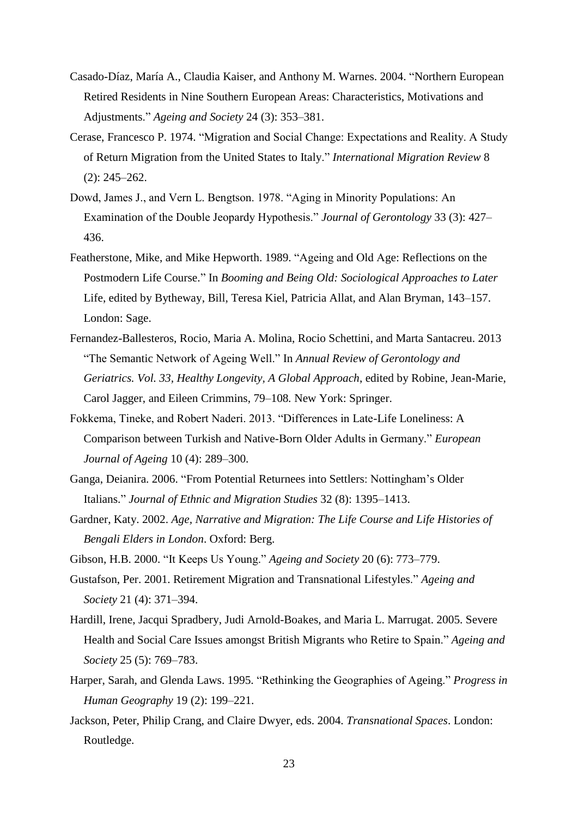- Casado-Díaz, María A., Claudia Kaiser, and Anthony M. Warnes. 2004. "Northern European Retired Residents in Nine Southern European Areas: Characteristics, Motivations and Adjustments." *Ageing and Society* 24 (3): 353–381.
- Cerase, Francesco P. 1974. "Migration and Social Change: Expectations and Reality. A Study of Return Migration from the United States to Italy." *International Migration Review* 8 (2): 245–262.
- Dowd, James J., and Vern L. Bengtson. 1978. "Aging in Minority Populations: An Examination of the Double Jeopardy Hypothesis." *Journal of Gerontology* 33 (3): 427– 436.
- Featherstone, Mike, and Mike Hepworth. 1989. "Ageing and Old Age: Reflections on the Postmodern Life Course." In *Booming and Being Old: Sociological Approaches to Later*  Life, edited by Bytheway, Bill, Teresa Kiel, Patricia Allat, and Alan Bryman, 143–157. London: Sage.
- Fernandez-Ballesteros, Rocio, Maria A. Molina, Rocio Schettini, and Marta Santacreu. 2013 "The Semantic Network of Ageing Well." In *Annual Review of Gerontology and Geriatrics. Vol. 33, Healthy Longevity, A Global Approach*, edited by Robine, Jean-Marie, Carol Jagger, and Eileen Crimmins, 79–108*.* New York: Springer.
- Fokkema, Tineke, and Robert Naderi. 2013. "Differences in Late-Life Loneliness: A Comparison between Turkish and Native-Born Older Adults in Germany." *European Journal of Ageing* 10 (4): 289–300.
- Ganga, Deianira. 2006. "From Potential Returnees into Settlers: Nottingham's Older Italians." *Journal of Ethnic and Migration Studies* 32 (8): 1395–1413.
- Gardner, Katy. 2002. *Age, Narrative and Migration: The Life Course and Life Histories of Bengali Elders in London*. Oxford: Berg.
- Gibson, H.B. 2000. "It Keeps Us Young." *Ageing and Society* 20 (6): 773–779.
- Gustafson, Per. 2001. Retirement Migration and Transnational Lifestyles." *Ageing and Society* 21 (4): 371–394.
- Hardill, Irene, Jacqui Spradbery, Judi Arnold-Boakes, and Maria L. Marrugat. 2005. Severe Health and Social Care Issues amongst British Migrants who Retire to Spain." *Ageing and Society* 25 (5): 769–783.
- Harper, Sarah, and Glenda Laws. 1995. "Rethinking the Geographies of Ageing." *Progress in Human Geography* 19 (2): 199–221.
- Jackson, Peter, Philip Crang, and Claire Dwyer, eds. 2004. *Transnational Spaces*. London: Routledge.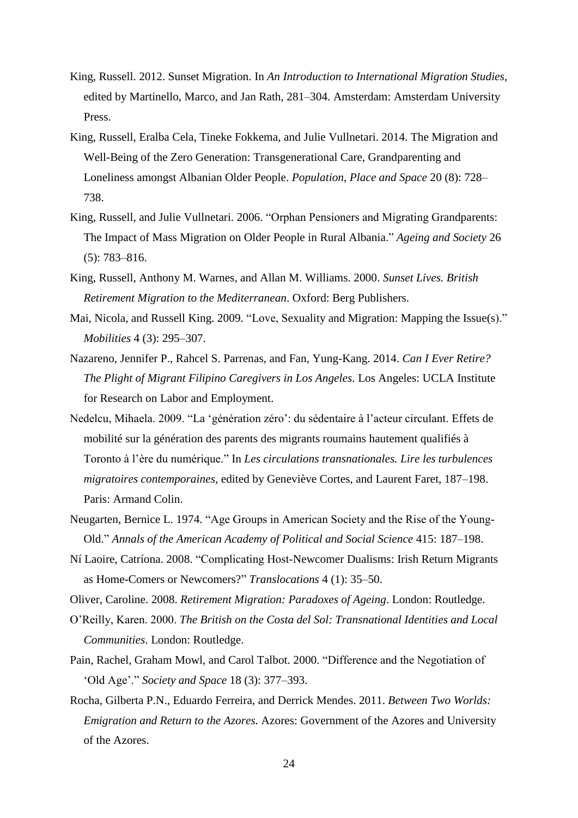- King, Russell. 2012. Sunset Migration. In *An Introduction to International Migration Studies*, edited by Martinello, Marco, and Jan Rath, 281–304. Amsterdam: Amsterdam University Press.
- King, Russell, Eralba Cela, Tineke Fokkema, and Julie Vullnetari. 2014. The Migration and Well-Being of the Zero Generation: Transgenerational Care, Grandparenting and Loneliness amongst Albanian Older People. *Population, Place and Space* 20 (8): 728– 738.
- King, Russell, and Julie Vullnetari. 2006. "Orphan Pensioners and Migrating Grandparents: The Impact of Mass Migration on Older People in Rural Albania." *Ageing and Society* 26 (5): 783–816.
- King, Russell, Anthony M. Warnes, and Allan M. Williams. 2000. *Sunset Lives. British Retirement Migration to the Mediterranean*. Oxford: Berg Publishers.
- Mai, Nicola, and Russell King. 2009. "Love, Sexuality and Migration: Mapping the Issue(s)." *Mobilities* 4 (3): 295–307.
- Nazareno, Jennifer P., Rahcel S. Parrenas, and Fan, Yung-Kang. 2014. *Can I Ever Retire? The Plight of Migrant Filipino Caregivers in Los Angeles*. Los Angeles: UCLA Institute for Research on Labor and Employment.
- Nedelcu, Mihaela. 2009. "La 'génération zéro': du sédentaire à l'acteur circulant. Effets de mobilité sur la génération des parents des migrants roumains hautement qualifiés à Toronto à l'ère du numérique." In *Les circulations transnationales. Lire les turbulences migratoires contemporaines*, edited by Geneviève Cortes, and Laurent Faret, 187–198. Paris: Armand Colin.
- Neugarten, Bernice L. 1974. "Age Groups in American Society and the Rise of the Young-Old." *Annals of the American Academy of Political and Social Science* 415: 187–198.
- Ní Laoire, Catríona. 2008. "Complicating Host-Newcomer Dualisms: Irish Return Migrants as Home-Comers or Newcomers?" *Translocations* 4 (1): 35–50.
- Oliver, Caroline. 2008. *Retirement Migration: Paradoxes of Ageing*. London: Routledge.
- O'Reilly, Karen. 2000. *The British on the Costa del Sol: Transnational Identities and Local Communities*. London: Routledge.
- Pain, Rachel, Graham Mowl, and Carol Talbot. 2000. "Difference and the Negotiation of 'Old Age'." *Society and Space* 18 (3): 377–393.
- Rocha, Gilberta P.N., Eduardo Ferreira, and Derrick Mendes. 2011. *Between Two Worlds: Emigration and Return to the Azores.* Azores: Government of the Azores and University of the Azores.